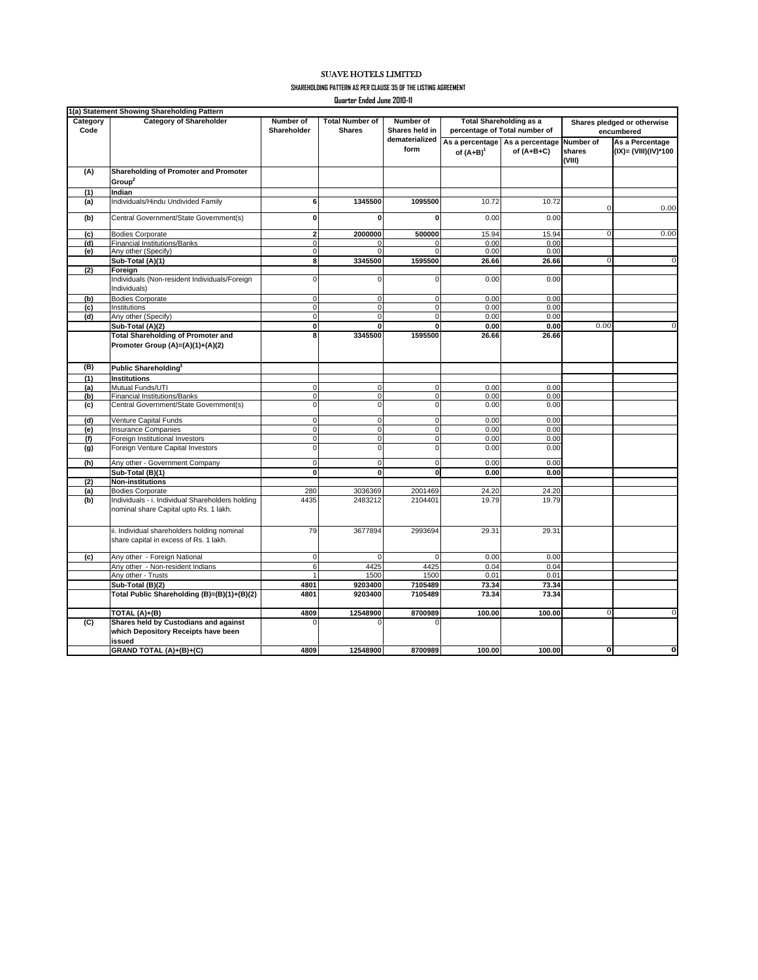## SUAVE HOTELS LIMITED

**SHAREHOLDING PATTERN AS PER CLAUSE 35 OF THE LISTING AGREEMENT**

**Quarter Ended June 2010-11**

|                  | 1(a) Statement Showing Shareholding Pattern                                                |                          |                                         |                                                       |                                                                 |                                 |                                           |                                         |
|------------------|--------------------------------------------------------------------------------------------|--------------------------|-----------------------------------------|-------------------------------------------------------|-----------------------------------------------------------------|---------------------------------|-------------------------------------------|-----------------------------------------|
| Category<br>Code | <b>Category of Shareholder</b>                                                             | Number of<br>Shareholder | <b>Total Number of</b><br><b>Shares</b> | Number of<br>Shares held in<br>dematerialized<br>form | <b>Total Shareholding as a</b><br>percentage of Total number of |                                 | Shares pledged or otherwise<br>encumbered |                                         |
|                  |                                                                                            |                          |                                         |                                                       | As a percentage<br>of $(A+B)^1$                                 | As a percentage<br>of $(A+B+C)$ | Number of<br>shares<br>(VIII)             | As a Percentage<br>(IX)= (VIII)(IV)*100 |
| (A)              | Shareholding of Promoter and Promoter                                                      |                          |                                         |                                                       |                                                                 |                                 |                                           |                                         |
|                  | Group <sup>2</sup>                                                                         |                          |                                         |                                                       |                                                                 |                                 |                                           |                                         |
| (1)              | Indian                                                                                     |                          |                                         |                                                       |                                                                 |                                 |                                           |                                         |
| (a)              | Individuals/Hindu Undivided Family                                                         | 6                        | 1345500                                 | 1095500                                               | 10.72                                                           | 10.72                           | $\mathbf{O}$                              | 0.00                                    |
| (b)              | Central Government/State Government(s)                                                     | $\pmb{0}$                | $\mathbf 0$                             | $\mathbf 0$                                           | 0.00                                                            | 0.00                            |                                           |                                         |
| (c)              | <b>Bodies Corporate</b>                                                                    | $\overline{\mathbf{2}}$  | 2000000                                 | 500000                                                | 15.94                                                           | 15.94                           | $\Omega$                                  | 0.00                                    |
| (d)              | <b>Financial Institutions/Banks</b>                                                        | $\pmb{0}$                | $\mathbf 0$                             | $\Omega$                                              | 0.00                                                            | 0.00                            |                                           |                                         |
| (e)              | Any other (Specify)                                                                        | $\mathbf 0$              | $\Omega$                                | $\Omega$                                              | 0.00                                                            | 0.00                            |                                           |                                         |
|                  | Sub-Total (A)(1)                                                                           | 8                        | 3345500                                 | 1595500                                               | 26.66                                                           | 26.66                           | $\overline{0}$                            | $\overline{0}$                          |
| (2)              | Foreign<br>Individuals (Non-resident Individuals/Foreign<br>Individuals)                   | $\pmb{0}$                | $\mathbf 0$                             | $\mathbf 0$                                           | 0.00                                                            | 0.00                            |                                           |                                         |
| (b)              | <b>Bodies Corporate</b>                                                                    | $\mathbf 0$              | $\mathbf 0$                             | $\mathbf 0$                                           | 0.00                                                            | 0.00                            |                                           |                                         |
| (c)              | Institutions                                                                               | $\pmb{0}$                | $\pmb{0}$                               | $\mathbf 0$                                           | 0.00                                                            | 0.00                            |                                           |                                         |
| (d)              | Any other (Specify)                                                                        | 0                        | $\mathbf 0$                             | $\mathbf 0$                                           | 0.00                                                            | 0.00                            |                                           |                                         |
|                  | Sub-Total (A)(2)                                                                           | $\bullet$                | 0                                       | ō                                                     | 0.00                                                            | 0.00                            | 0.00                                      | $\overline{0}$                          |
|                  | <b>Total Shareholding of Promoter and</b><br>Promoter Group (A)=(A)(1)+(A)(2)              | 8                        | 3345500                                 | 1595500                                               | 26.66                                                           | 26.66                           |                                           |                                         |
| (B)              | Public Shareholding <sup>3</sup>                                                           |                          |                                         |                                                       |                                                                 |                                 |                                           |                                         |
| (1)              | <b>Institutions</b>                                                                        |                          |                                         |                                                       |                                                                 |                                 |                                           |                                         |
| (a)              | Mutual Funds/UTI                                                                           | 0                        | $\mathbf 0$                             | $\mathbf 0$                                           | 0.00                                                            | 0.00                            |                                           |                                         |
| (b)              | <b>Financial Institutions/Banks</b>                                                        | 0                        | $\mathbf 0$                             | $\mathbf 0$                                           | 0.00                                                            | 0.00                            |                                           |                                         |
| (c)              | Central Government/State Government(s)                                                     | 0                        | $\mathbf 0$                             | $\mathbf 0$                                           | 0.00                                                            | 0.00                            |                                           |                                         |
| (d)              | Venture Capital Funds                                                                      | $\mathbf 0$              | $\mathbf 0$                             | $\mathbf 0$                                           | 0.00                                                            | 0.00                            |                                           |                                         |
| (e)              | <b>Insurance Companies</b>                                                                 | $\pmb{0}$                | $\pmb{0}$                               | $\pmb{0}$                                             | 0.00                                                            | 0.00                            |                                           |                                         |
| (f)              | Foreign Institutional Investors                                                            | 0                        | $\mathbf 0$                             | $\mathbf 0$                                           | 0.00                                                            | 0.00                            |                                           |                                         |
| (g)              | Foreign Venture Capital Investors                                                          | $\pmb{0}$                | $\pmb{0}$                               | $\mathbf 0$                                           | 0.00                                                            | 0.00                            |                                           |                                         |
| (h)              | Any other - Government Company                                                             | $\mathbf 0$              | $\mathbf 0$                             | $\Omega$                                              | 0.00                                                            | 0.00                            |                                           |                                         |
|                  | Sub-Total (B)(1)                                                                           | $\overline{\mathbf{0}}$  | $\mathbf 0$                             | $\mathbf 0$                                           | 0.00                                                            | 0.00                            |                                           |                                         |
| (2)              | <b>Non-institutions</b>                                                                    |                          |                                         |                                                       |                                                                 |                                 |                                           |                                         |
| (a)              | <b>Bodies Corporate</b>                                                                    | 280                      | 3036369                                 | 2001469                                               | 24.20                                                           | 24.20                           |                                           |                                         |
| (b)              | Individuals - i. Individual Shareholders holding<br>nominal share Capital upto Rs. 1 lakh. | 4435                     | 2483212                                 | 2104401                                               | 19.79                                                           | 19.79                           |                                           |                                         |
|                  | ii. Individual shareholders holding nominal<br>share capital in excess of Rs. 1 lakh.      | 79                       | 3677894                                 | 2993694                                               | 29.31                                                           | 29.31                           |                                           |                                         |
| (c)              | Any other - Foreign National                                                               | $\bf 0$                  | $\mathbf 0$                             | $\mathbf 0$                                           | 0.00                                                            | 0.00                            |                                           |                                         |
|                  | Any other - Non-resident Indians                                                           | 6                        | 4425                                    | 4425                                                  | 0.04                                                            | 0.04                            |                                           |                                         |
|                  | Any other - Trusts                                                                         | 1                        | 1500                                    | 1500                                                  | 0.01                                                            | 0.01                            |                                           |                                         |
|                  | Sub-Total (B)(2)                                                                           | 4801                     | 9203400                                 | 7105489                                               | 73.34                                                           | 73.34                           |                                           |                                         |
|                  | Total Public Shareholding (B)=(B)(1)+(B)(2)                                                | 4801                     | 9203400                                 | 7105489                                               | 73.34                                                           | 73.34                           |                                           |                                         |
|                  | TOTAL (A)+(B)                                                                              | 4809                     | 12548900                                | 8700989                                               | 100.00                                                          | 100.00                          | $\overline{0}$                            | $\overline{0}$                          |
| (C)              | Shares held by Custodians and against<br>which Depository Receipts have been<br>issued     | $\Omega$                 | $\Omega$                                | U                                                     |                                                                 |                                 |                                           |                                         |
|                  | GRAND TOTAL (A)+(B)+(C)                                                                    | 4809                     | 12548900                                | 8700989                                               | 100.00                                                          | 100.00                          | $\overline{0}$                            | Ō                                       |